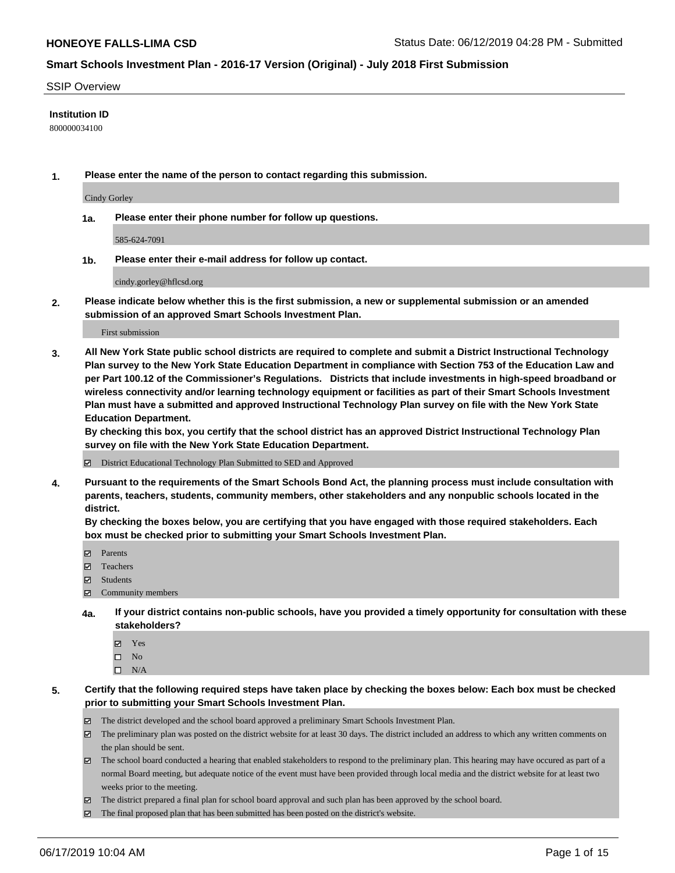#### SSIP Overview

#### **Institution ID**

800000034100

**1. Please enter the name of the person to contact regarding this submission.**

Cindy Gorley

**1a. Please enter their phone number for follow up questions.**

585-624-7091

**1b. Please enter their e-mail address for follow up contact.**

cindy.gorley@hflcsd.org

**2. Please indicate below whether this is the first submission, a new or supplemental submission or an amended submission of an approved Smart Schools Investment Plan.**

First submission

**3. All New York State public school districts are required to complete and submit a District Instructional Technology Plan survey to the New York State Education Department in compliance with Section 753 of the Education Law and per Part 100.12 of the Commissioner's Regulations. Districts that include investments in high-speed broadband or wireless connectivity and/or learning technology equipment or facilities as part of their Smart Schools Investment Plan must have a submitted and approved Instructional Technology Plan survey on file with the New York State Education Department.** 

**By checking this box, you certify that the school district has an approved District Instructional Technology Plan survey on file with the New York State Education Department.**

District Educational Technology Plan Submitted to SED and Approved

**4. Pursuant to the requirements of the Smart Schools Bond Act, the planning process must include consultation with parents, teachers, students, community members, other stakeholders and any nonpublic schools located in the district.** 

**By checking the boxes below, you are certifying that you have engaged with those required stakeholders. Each box must be checked prior to submitting your Smart Schools Investment Plan.**

- Parents
- Teachers
- Students
- Community members
- **4a. If your district contains non-public schools, have you provided a timely opportunity for consultation with these stakeholders?**
	- Yes
	- $\square$  No
	- $\square$  N/A
- **5. Certify that the following required steps have taken place by checking the boxes below: Each box must be checked prior to submitting your Smart Schools Investment Plan.**
	- The district developed and the school board approved a preliminary Smart Schools Investment Plan.
	- $\boxtimes$  The preliminary plan was posted on the district website for at least 30 days. The district included an address to which any written comments on the plan should be sent.
	- $\boxtimes$  The school board conducted a hearing that enabled stakeholders to respond to the preliminary plan. This hearing may have occured as part of a normal Board meeting, but adequate notice of the event must have been provided through local media and the district website for at least two weeks prior to the meeting.
	- The district prepared a final plan for school board approval and such plan has been approved by the school board.
	- $\boxtimes$  The final proposed plan that has been submitted has been posted on the district's website.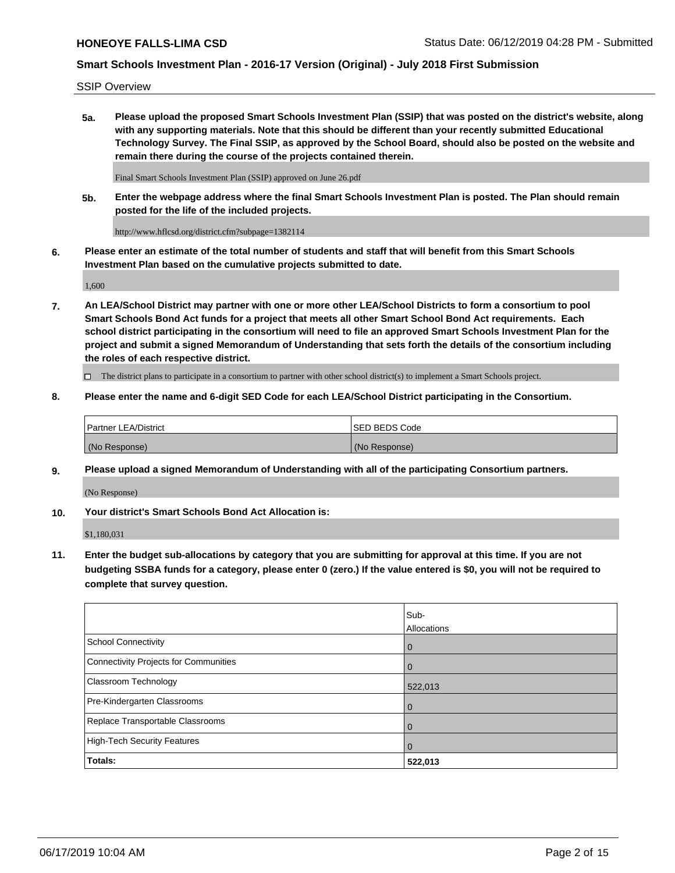SSIP Overview

**5a. Please upload the proposed Smart Schools Investment Plan (SSIP) that was posted on the district's website, along with any supporting materials. Note that this should be different than your recently submitted Educational Technology Survey. The Final SSIP, as approved by the School Board, should also be posted on the website and remain there during the course of the projects contained therein.**

Final Smart Schools Investment Plan (SSIP) approved on June 26.pdf

**5b. Enter the webpage address where the final Smart Schools Investment Plan is posted. The Plan should remain posted for the life of the included projects.**

http://www.hflcsd.org/district.cfm?subpage=1382114

**6. Please enter an estimate of the total number of students and staff that will benefit from this Smart Schools Investment Plan based on the cumulative projects submitted to date.**

1,600

**7. An LEA/School District may partner with one or more other LEA/School Districts to form a consortium to pool Smart Schools Bond Act funds for a project that meets all other Smart School Bond Act requirements. Each school district participating in the consortium will need to file an approved Smart Schools Investment Plan for the project and submit a signed Memorandum of Understanding that sets forth the details of the consortium including the roles of each respective district.**

 $\Box$  The district plans to participate in a consortium to partner with other school district(s) to implement a Smart Schools project.

### **8. Please enter the name and 6-digit SED Code for each LEA/School District participating in the Consortium.**

| Partner LEA/District | <b>ISED BEDS Code</b> |
|----------------------|-----------------------|
| (No Response)        | (No Response)         |

### **9. Please upload a signed Memorandum of Understanding with all of the participating Consortium partners.**

(No Response)

**10. Your district's Smart Schools Bond Act Allocation is:**

\$1,180,031

**11. Enter the budget sub-allocations by category that you are submitting for approval at this time. If you are not budgeting SSBA funds for a category, please enter 0 (zero.) If the value entered is \$0, you will not be required to complete that survey question.**

|                                       | Sub-<br><b>Allocations</b> |
|---------------------------------------|----------------------------|
| School Connectivity                   | l 0                        |
| Connectivity Projects for Communities | $\Omega$                   |
| <b>Classroom Technology</b>           | 522,013                    |
| Pre-Kindergarten Classrooms           | $\overline{0}$             |
| Replace Transportable Classrooms      | $\Omega$                   |
| High-Tech Security Features           | $\overline{0}$             |
| Totals:                               | 522,013                    |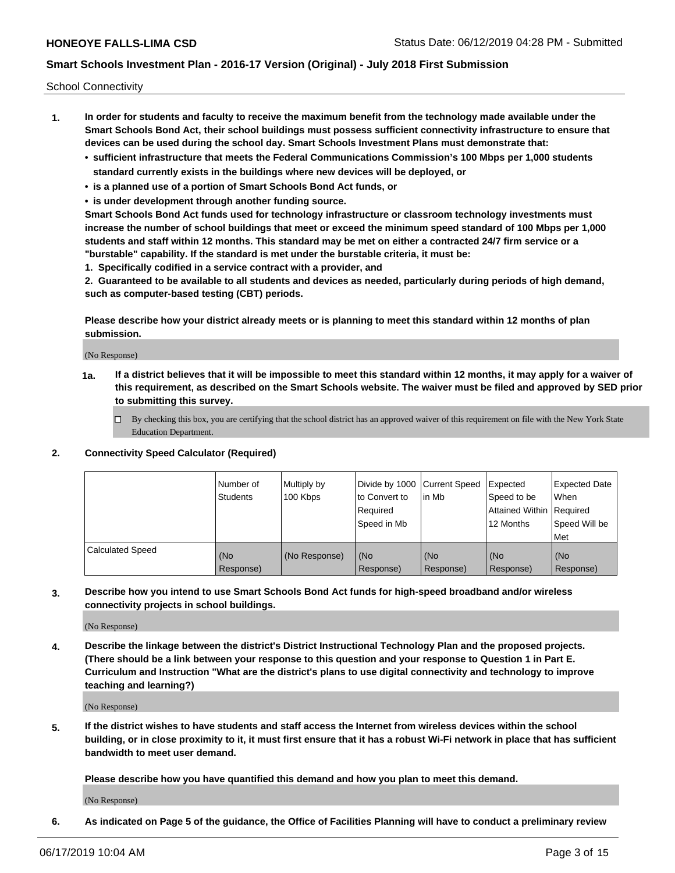School Connectivity

- **1. In order for students and faculty to receive the maximum benefit from the technology made available under the Smart Schools Bond Act, their school buildings must possess sufficient connectivity infrastructure to ensure that devices can be used during the school day. Smart Schools Investment Plans must demonstrate that:**
	- **• sufficient infrastructure that meets the Federal Communications Commission's 100 Mbps per 1,000 students standard currently exists in the buildings where new devices will be deployed, or**
	- **• is a planned use of a portion of Smart Schools Bond Act funds, or**
	- **• is under development through another funding source.**

**Smart Schools Bond Act funds used for technology infrastructure or classroom technology investments must increase the number of school buildings that meet or exceed the minimum speed standard of 100 Mbps per 1,000 students and staff within 12 months. This standard may be met on either a contracted 24/7 firm service or a "burstable" capability. If the standard is met under the burstable criteria, it must be:**

**1. Specifically codified in a service contract with a provider, and**

**2. Guaranteed to be available to all students and devices as needed, particularly during periods of high demand, such as computer-based testing (CBT) periods.**

**Please describe how your district already meets or is planning to meet this standard within 12 months of plan submission.**

(No Response)

**1a. If a district believes that it will be impossible to meet this standard within 12 months, it may apply for a waiver of this requirement, as described on the Smart Schools website. The waiver must be filed and approved by SED prior to submitting this survey.**

 $\Box$  By checking this box, you are certifying that the school district has an approved waiver of this requirement on file with the New York State Education Department.

### **2. Connectivity Speed Calculator (Required)**

|                         | Number of<br>Students | Multiply by<br>100 Kbps | Divide by 1000 Current Speed<br>to Convert to<br>Required<br>Speed in Mb | lin Mb           | Expected<br>Speed to be<br>Attained Within   Required<br>12 Months | <b>Expected Date</b><br>When<br>Speed Will be<br><b>Met</b> |
|-------------------------|-----------------------|-------------------------|--------------------------------------------------------------------------|------------------|--------------------------------------------------------------------|-------------------------------------------------------------|
| <b>Calculated Speed</b> | (No<br>Response)      | (No Response)           | (No<br>Response)                                                         | (No<br>Response) | (No<br>Response)                                                   | (No<br>Response)                                            |

**3. Describe how you intend to use Smart Schools Bond Act funds for high-speed broadband and/or wireless connectivity projects in school buildings.**

(No Response)

**4. Describe the linkage between the district's District Instructional Technology Plan and the proposed projects. (There should be a link between your response to this question and your response to Question 1 in Part E. Curriculum and Instruction "What are the district's plans to use digital connectivity and technology to improve teaching and learning?)**

(No Response)

**5. If the district wishes to have students and staff access the Internet from wireless devices within the school building, or in close proximity to it, it must first ensure that it has a robust Wi-Fi network in place that has sufficient bandwidth to meet user demand.**

**Please describe how you have quantified this demand and how you plan to meet this demand.**

(No Response)

**6. As indicated on Page 5 of the guidance, the Office of Facilities Planning will have to conduct a preliminary review**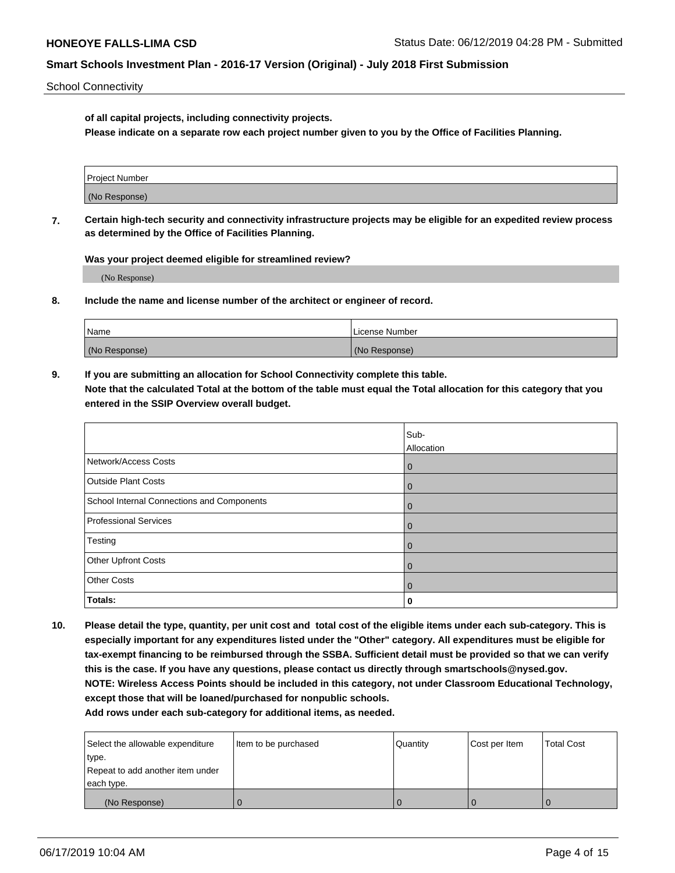School Connectivity

**of all capital projects, including connectivity projects.**

**Please indicate on a separate row each project number given to you by the Office of Facilities Planning.**

| Project Number |  |
|----------------|--|
|                |  |
| (No Response)  |  |
|                |  |

**7. Certain high-tech security and connectivity infrastructure projects may be eligible for an expedited review process as determined by the Office of Facilities Planning.**

**Was your project deemed eligible for streamlined review?**

(No Response)

**8. Include the name and license number of the architect or engineer of record.**

| Name          | License Number |
|---------------|----------------|
| (No Response) | (No Response)  |

**9. If you are submitting an allocation for School Connectivity complete this table. Note that the calculated Total at the bottom of the table must equal the Total allocation for this category that you entered in the SSIP Overview overall budget.** 

|                                            | Sub-        |
|--------------------------------------------|-------------|
|                                            | Allocation  |
| Network/Access Costs                       | $\mathbf 0$ |
| <b>Outside Plant Costs</b>                 | 0           |
| School Internal Connections and Components | $\mathbf 0$ |
| <b>Professional Services</b>               | $\mathbf 0$ |
| Testing                                    | $\mathbf 0$ |
| Other Upfront Costs                        | $\mathbf 0$ |
| <b>Other Costs</b>                         | $\mathbf 0$ |
| Totals:                                    | 0           |

**10. Please detail the type, quantity, per unit cost and total cost of the eligible items under each sub-category. This is especially important for any expenditures listed under the "Other" category. All expenditures must be eligible for tax-exempt financing to be reimbursed through the SSBA. Sufficient detail must be provided so that we can verify this is the case. If you have any questions, please contact us directly through smartschools@nysed.gov. NOTE: Wireless Access Points should be included in this category, not under Classroom Educational Technology, except those that will be loaned/purchased for nonpublic schools.**

| Select the allowable expenditure | Item to be purchased | Quantity | Cost per Item | <b>Total Cost</b> |
|----------------------------------|----------------------|----------|---------------|-------------------|
| type.                            |                      |          |               |                   |
| Repeat to add another item under |                      |          |               |                   |
| each type.                       |                      |          |               |                   |
| (No Response)                    |                      |          |               |                   |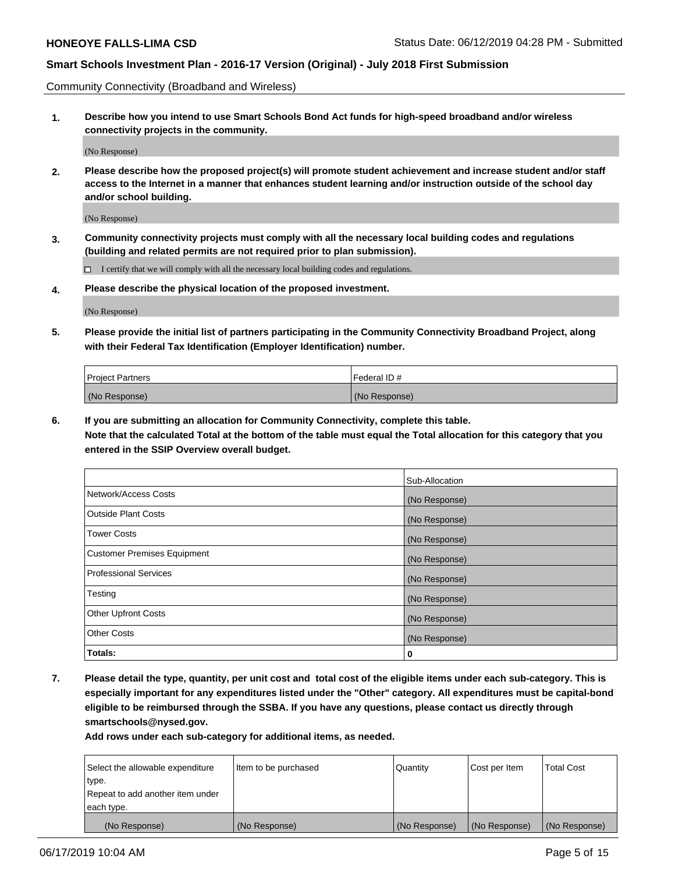Community Connectivity (Broadband and Wireless)

**1. Describe how you intend to use Smart Schools Bond Act funds for high-speed broadband and/or wireless connectivity projects in the community.**

(No Response)

**2. Please describe how the proposed project(s) will promote student achievement and increase student and/or staff access to the Internet in a manner that enhances student learning and/or instruction outside of the school day and/or school building.**

(No Response)

**3. Community connectivity projects must comply with all the necessary local building codes and regulations (building and related permits are not required prior to plan submission).**

 $\Box$  I certify that we will comply with all the necessary local building codes and regulations.

**4. Please describe the physical location of the proposed investment.**

(No Response)

**5. Please provide the initial list of partners participating in the Community Connectivity Broadband Project, along with their Federal Tax Identification (Employer Identification) number.**

| <b>Project Partners</b> | Federal ID#   |
|-------------------------|---------------|
| (No Response)           | (No Response) |

**6. If you are submitting an allocation for Community Connectivity, complete this table.**

**Note that the calculated Total at the bottom of the table must equal the Total allocation for this category that you entered in the SSIP Overview overall budget.**

|                                    | Sub-Allocation |
|------------------------------------|----------------|
| Network/Access Costs               | (No Response)  |
| Outside Plant Costs                | (No Response)  |
| <b>Tower Costs</b>                 | (No Response)  |
| <b>Customer Premises Equipment</b> | (No Response)  |
| Professional Services              | (No Response)  |
| Testing                            | (No Response)  |
| <b>Other Upfront Costs</b>         | (No Response)  |
| <b>Other Costs</b>                 | (No Response)  |
| Totals:                            | 0              |

**7. Please detail the type, quantity, per unit cost and total cost of the eligible items under each sub-category. This is especially important for any expenditures listed under the "Other" category. All expenditures must be capital-bond eligible to be reimbursed through the SSBA. If you have any questions, please contact us directly through smartschools@nysed.gov.**

| Select the allowable expenditure<br>type. | Item to be purchased | Quantity      | Cost per Item | <b>Total Cost</b> |
|-------------------------------------------|----------------------|---------------|---------------|-------------------|
| Repeat to add another item under          |                      |               |               |                   |
| each type.                                |                      |               |               |                   |
| (No Response)                             | (No Response)        | (No Response) | (No Response) | (No Response)     |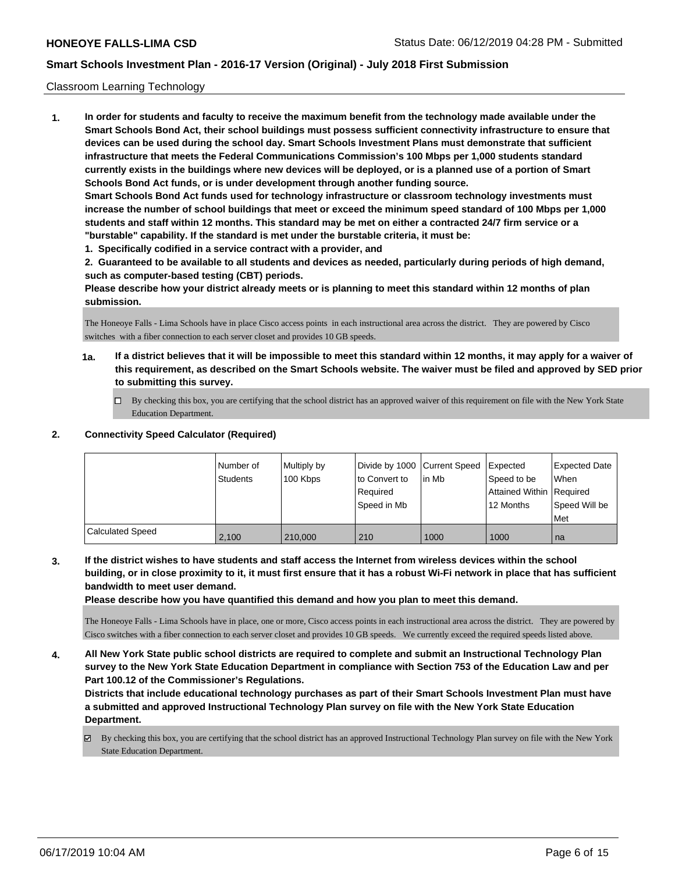#### Classroom Learning Technology

**1. In order for students and faculty to receive the maximum benefit from the technology made available under the Smart Schools Bond Act, their school buildings must possess sufficient connectivity infrastructure to ensure that devices can be used during the school day. Smart Schools Investment Plans must demonstrate that sufficient infrastructure that meets the Federal Communications Commission's 100 Mbps per 1,000 students standard currently exists in the buildings where new devices will be deployed, or is a planned use of a portion of Smart Schools Bond Act funds, or is under development through another funding source. Smart Schools Bond Act funds used for technology infrastructure or classroom technology investments must increase the number of school buildings that meet or exceed the minimum speed standard of 100 Mbps per 1,000 students and staff within 12 months. This standard may be met on either a contracted 24/7 firm service or a "burstable" capability. If the standard is met under the burstable criteria, it must be:**

**1. Specifically codified in a service contract with a provider, and**

**2. Guaranteed to be available to all students and devices as needed, particularly during periods of high demand, such as computer-based testing (CBT) periods.**

**Please describe how your district already meets or is planning to meet this standard within 12 months of plan submission.**

The Honeoye Falls - Lima Schools have in place Cisco access points in each instructional area across the district. They are powered by Cisco switches with a fiber connection to each server closet and provides 10 GB speeds.

- **1a. If a district believes that it will be impossible to meet this standard within 12 months, it may apply for a waiver of this requirement, as described on the Smart Schools website. The waiver must be filed and approved by SED prior to submitting this survey.**
	- By checking this box, you are certifying that the school district has an approved waiver of this requirement on file with the New York State Education Department.

## **2. Connectivity Speed Calculator (Required)**

|                         | Number of<br><b>Students</b> | Multiply by<br>100 Kbps | Divide by 1000 Current Speed<br>to Convert to<br>Required<br>Speed in Mb | lin Mb | Expected<br>Speed to be<br>Attained Within Required<br>12 Months | <b>Expected Date</b><br>When<br>Speed Will be<br>Met |
|-------------------------|------------------------------|-------------------------|--------------------------------------------------------------------------|--------|------------------------------------------------------------------|------------------------------------------------------|
| <b>Calculated Speed</b> | 2.100                        | 210,000                 | 210                                                                      | 1000   | 1000                                                             | l na                                                 |

**3. If the district wishes to have students and staff access the Internet from wireless devices within the school building, or in close proximity to it, it must first ensure that it has a robust Wi-Fi network in place that has sufficient bandwidth to meet user demand.**

**Please describe how you have quantified this demand and how you plan to meet this demand.**

The Honeoye Falls - Lima Schools have in place, one or more, Cisco access points in each instructional area across the district. They are powered by Cisco switches with a fiber connection to each server closet and provides 10 GB speeds. We currently exceed the required speeds listed above.

**4. All New York State public school districts are required to complete and submit an Instructional Technology Plan survey to the New York State Education Department in compliance with Section 753 of the Education Law and per Part 100.12 of the Commissioner's Regulations.**

**Districts that include educational technology purchases as part of their Smart Schools Investment Plan must have a submitted and approved Instructional Technology Plan survey on file with the New York State Education Department.**

By checking this box, you are certifying that the school district has an approved Instructional Technology Plan survey on file with the New York State Education Department.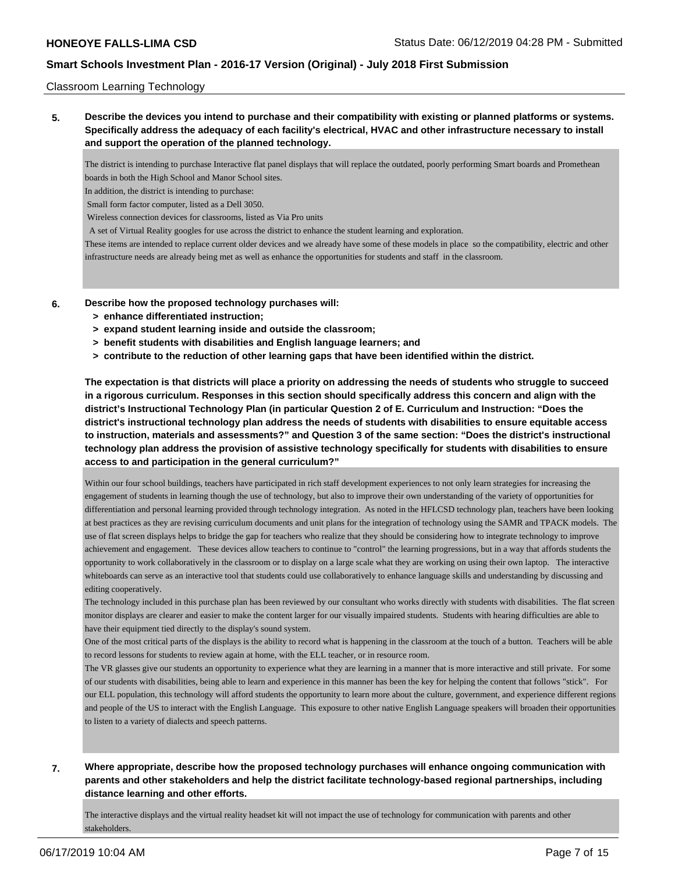#### Classroom Learning Technology

**5. Describe the devices you intend to purchase and their compatibility with existing or planned platforms or systems. Specifically address the adequacy of each facility's electrical, HVAC and other infrastructure necessary to install and support the operation of the planned technology.**

The district is intending to purchase Interactive flat panel displays that will replace the outdated, poorly performing Smart boards and Promethean boards in both the High School and Manor School sites.

In addition, the district is intending to purchase:

Small form factor computer, listed as a Dell 3050.

Wireless connection devices for classrooms, listed as Via Pro units

A set of Virtual Reality googles for use across the district to enhance the student learning and exploration.

These items are intended to replace current older devices and we already have some of these models in place so the compatibility, electric and other infrastructure needs are already being met as well as enhance the opportunities for students and staff in the classroom.

- **6. Describe how the proposed technology purchases will:**
	- **> enhance differentiated instruction;**
	- **> expand student learning inside and outside the classroom;**
	- **> benefit students with disabilities and English language learners; and**
	- **> contribute to the reduction of other learning gaps that have been identified within the district.**

**The expectation is that districts will place a priority on addressing the needs of students who struggle to succeed in a rigorous curriculum. Responses in this section should specifically address this concern and align with the district's Instructional Technology Plan (in particular Question 2 of E. Curriculum and Instruction: "Does the district's instructional technology plan address the needs of students with disabilities to ensure equitable access to instruction, materials and assessments?" and Question 3 of the same section: "Does the district's instructional technology plan address the provision of assistive technology specifically for students with disabilities to ensure access to and participation in the general curriculum?"**

Within our four school buildings, teachers have participated in rich staff development experiences to not only learn strategies for increasing the engagement of students in learning though the use of technology, but also to improve their own understanding of the variety of opportunities for differentiation and personal learning provided through technology integration. As noted in the HFLCSD technology plan, teachers have been looking at best practices as they are revising curriculum documents and unit plans for the integration of technology using the SAMR and TPACK models. The use of flat screen displays helps to bridge the gap for teachers who realize that they should be considering how to integrate technology to improve achievement and engagement. These devices allow teachers to continue to "control" the learning progressions, but in a way that affords students the opportunity to work collaboratively in the classroom or to display on a large scale what they are working on using their own laptop. The interactive whiteboards can serve as an interactive tool that students could use collaboratively to enhance language skills and understanding by discussing and editing cooperatively.

The technology included in this purchase plan has been reviewed by our consultant who works directly with students with disabilities. The flat screen monitor displays are clearer and easier to make the content larger for our visually impaired students. Students with hearing difficulties are able to have their equipment tied directly to the display's sound system.

One of the most critical parts of the displays is the ability to record what is happening in the classroom at the touch of a button. Teachers will be able to record lessons for students to review again at home, with the ELL teacher, or in resource room.

The VR glasses give our students an opportunity to experience what they are learning in a manner that is more interactive and still private. For some of our students with disabilities, being able to learn and experience in this manner has been the key for helping the content that follows "stick". For our ELL population, this technology will afford students the opportunity to learn more about the culture, government, and experience different regions and people of the US to interact with the English Language. This exposure to other native English Language speakers will broaden their opportunities to listen to a variety of dialects and speech patterns.

# **7. Where appropriate, describe how the proposed technology purchases will enhance ongoing communication with parents and other stakeholders and help the district facilitate technology-based regional partnerships, including distance learning and other efforts.**

The interactive displays and the virtual reality headset kit will not impact the use of technology for communication with parents and other stakeholders.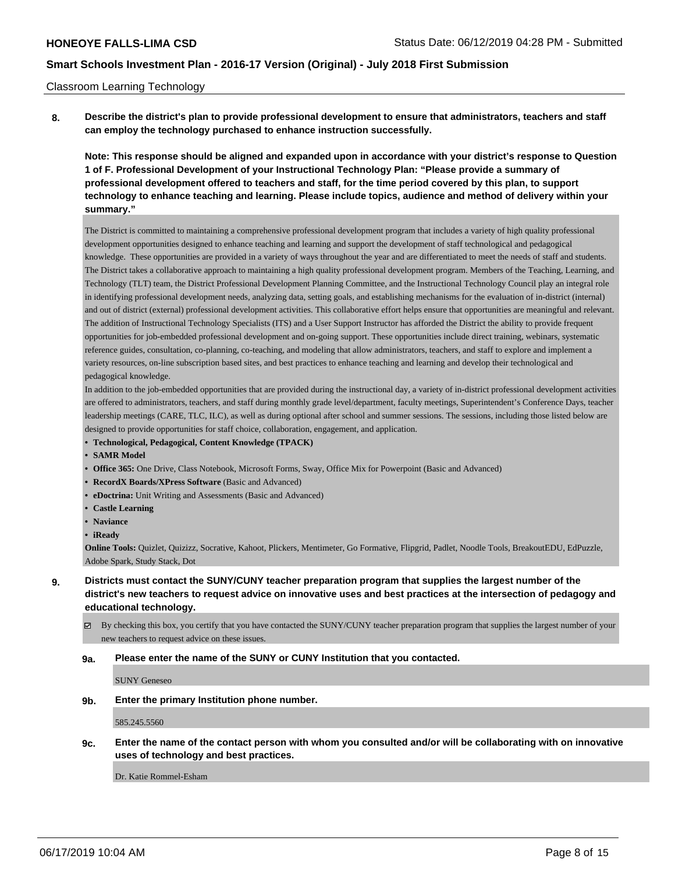#### Classroom Learning Technology

**8. Describe the district's plan to provide professional development to ensure that administrators, teachers and staff can employ the technology purchased to enhance instruction successfully.**

**Note: This response should be aligned and expanded upon in accordance with your district's response to Question 1 of F. Professional Development of your Instructional Technology Plan: "Please provide a summary of professional development offered to teachers and staff, for the time period covered by this plan, to support technology to enhance teaching and learning. Please include topics, audience and method of delivery within your summary."**

The District is committed to maintaining a comprehensive professional development program that includes a variety of high quality professional development opportunities designed to enhance teaching and learning and support the development of staff technological and pedagogical knowledge. These opportunities are provided in a variety of ways throughout the year and are differentiated to meet the needs of staff and students. The District takes a collaborative approach to maintaining a high quality professional development program. Members of the Teaching, Learning, and Technology (TLT) team, the District Professional Development Planning Committee, and the Instructional Technology Council play an integral role in identifying professional development needs, analyzing data, setting goals, and establishing mechanisms for the evaluation of in-district (internal) and out of district (external) professional development activities. This collaborative effort helps ensure that opportunities are meaningful and relevant. The addition of Instructional Technology Specialists (ITS) and a User Support Instructor has afforded the District the ability to provide frequent opportunities for job-embedded professional development and on-going support. These opportunities include direct training, webinars, systematic reference guides, consultation, co-planning, co-teaching, and modeling that allow administrators, teachers, and staff to explore and implement a variety resources, on-line subscription based sites, and best practices to enhance teaching and learning and develop their technological and pedagogical knowledge.

In addition to the job-embedded opportunities that are provided during the instructional day, a variety of in-district professional development activities are offered to administrators, teachers, and staff during monthly grade level/department, faculty meetings, Superintendent's Conference Days, teacher leadership meetings (CARE, TLC, ILC), as well as during optional after school and summer sessions. The sessions, including those listed below are designed to provide opportunities for staff choice, collaboration, engagement, and application.

- **• Technological, Pedagogical, Content Knowledge (TPACK)**
- **• SAMR Model**
- **• Office 365:** One Drive, Class Notebook, Microsoft Forms, Sway, Office Mix for Powerpoint (Basic and Advanced)
- **• RecordX Boards/XPress Software** (Basic and Advanced)
- **• eDoctrina:** Unit Writing and Assessments (Basic and Advanced)
- **• Castle Learning**
- **• Naviance**
- **• iReady**

**Online Tools:** Quizlet, Quizizz, Socrative, Kahoot, Plickers, Mentimeter, Go Formative, Flipgrid, Padlet, Noodle Tools, BreakoutEDU, EdPuzzle, Adobe Spark, Study Stack, Dot

By checking this box, you certify that you have contacted the SUNY/CUNY teacher preparation program that supplies the largest number of your new teachers to request advice on these issues.

### **9a. Please enter the name of the SUNY or CUNY Institution that you contacted.**

SUNY Geneseo

### **9b. Enter the primary Institution phone number.**

585.245.5560

**9c. Enter the name of the contact person with whom you consulted and/or will be collaborating with on innovative uses of technology and best practices.**

Dr. Katie Rommel-Esham

**<sup>9.</sup> Districts must contact the SUNY/CUNY teacher preparation program that supplies the largest number of the district's new teachers to request advice on innovative uses and best practices at the intersection of pedagogy and educational technology.**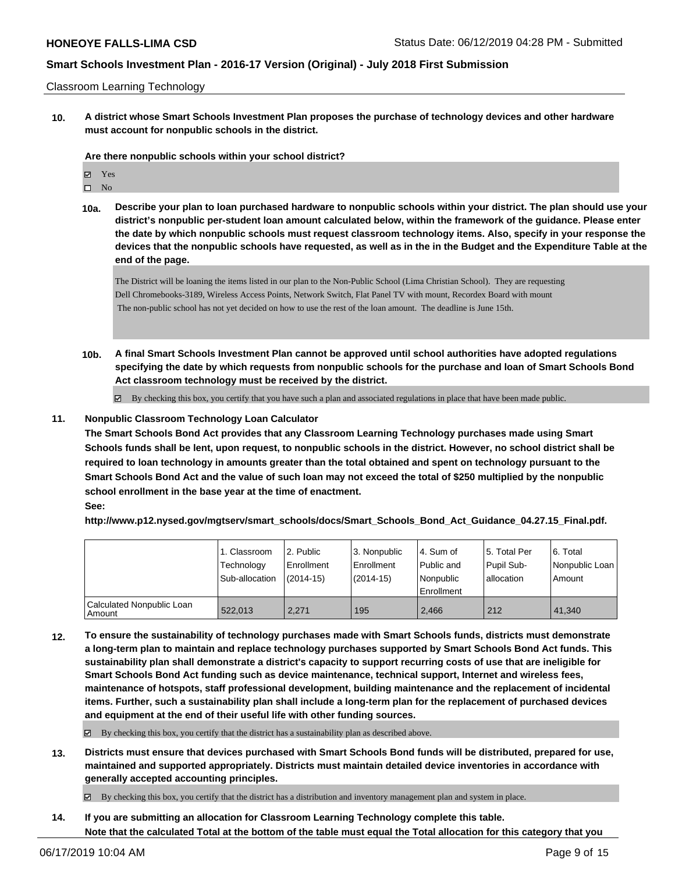Classroom Learning Technology

**10. A district whose Smart Schools Investment Plan proposes the purchase of technology devices and other hardware must account for nonpublic schools in the district.**

#### **Are there nonpublic schools within your school district?**

| 罓 | Y es           |
|---|----------------|
| П | N <sub>0</sub> |

**10a. Describe your plan to loan purchased hardware to nonpublic schools within your district. The plan should use your district's nonpublic per-student loan amount calculated below, within the framework of the guidance. Please enter the date by which nonpublic schools must request classroom technology items. Also, specify in your response the devices that the nonpublic schools have requested, as well as in the in the Budget and the Expenditure Table at the end of the page.**

The District will be loaning the items listed in our plan to the Non-Public School (Lima Christian School). They are requesting Dell Chromebooks-3189, Wireless Access Points, Network Switch, Flat Panel TV with mount, Recordex Board with mount The non-public school has not yet decided on how to use the rest of the loan amount. The deadline is June 15th.

**10b. A final Smart Schools Investment Plan cannot be approved until school authorities have adopted regulations specifying the date by which requests from nonpublic schools for the purchase and loan of Smart Schools Bond Act classroom technology must be received by the district.**

 $\boxtimes$  By checking this box, you certify that you have such a plan and associated regulations in place that have been made public.

### **11. Nonpublic Classroom Technology Loan Calculator**

**The Smart Schools Bond Act provides that any Classroom Learning Technology purchases made using Smart Schools funds shall be lent, upon request, to nonpublic schools in the district. However, no school district shall be required to loan technology in amounts greater than the total obtained and spent on technology pursuant to the Smart Schools Bond Act and the value of such loan may not exceed the total of \$250 multiplied by the nonpublic school enrollment in the base year at the time of enactment.**

# **See:**

**http://www.p12.nysed.gov/mgtserv/smart\_schools/docs/Smart\_Schools\_Bond\_Act\_Guidance\_04.27.15\_Final.pdf.**

|                                       | 1. Classroom<br>Technology<br>Sub-allocation | l 2. Public<br>l Enrollment<br>$(2014-15)$ | 3. Nonpublic<br>Enrollment<br>$(2014-15)$ | 4. Sum of<br>Public and<br>l Nonpublic<br>Enrollment | 15. Total Per<br>Pupil Sub-<br>allocation | 6. Total<br>Nonpublic Loan<br>Amount |
|---------------------------------------|----------------------------------------------|--------------------------------------------|-------------------------------------------|------------------------------------------------------|-------------------------------------------|--------------------------------------|
| Calculated Nonpublic Loan<br>l Amount | 522.013                                      | 2.271                                      | 195                                       | 2.466                                                | 212                                       | 41.340                               |

**12. To ensure the sustainability of technology purchases made with Smart Schools funds, districts must demonstrate a long-term plan to maintain and replace technology purchases supported by Smart Schools Bond Act funds. This sustainability plan shall demonstrate a district's capacity to support recurring costs of use that are ineligible for Smart Schools Bond Act funding such as device maintenance, technical support, Internet and wireless fees, maintenance of hotspots, staff professional development, building maintenance and the replacement of incidental items. Further, such a sustainability plan shall include a long-term plan for the replacement of purchased devices and equipment at the end of their useful life with other funding sources.**

By checking this box, you certify that the district has a sustainability plan as described above.

**13. Districts must ensure that devices purchased with Smart Schools Bond funds will be distributed, prepared for use, maintained and supported appropriately. Districts must maintain detailed device inventories in accordance with generally accepted accounting principles.**

By checking this box, you certify that the district has a distribution and inventory management plan and system in place.

**14. If you are submitting an allocation for Classroom Learning Technology complete this table. Note that the calculated Total at the bottom of the table must equal the Total allocation for this category that you**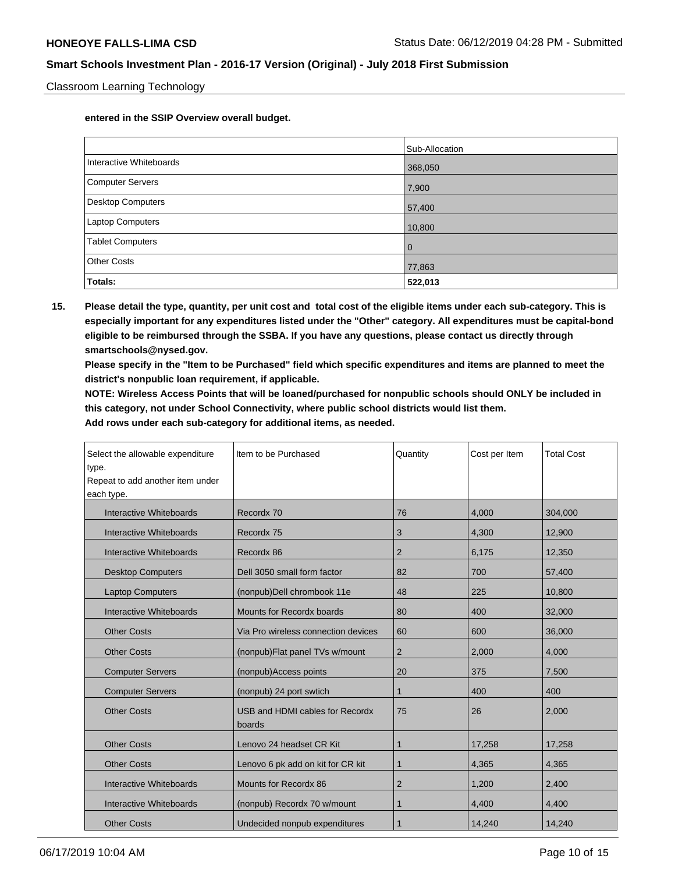Classroom Learning Technology

**entered in the SSIP Overview overall budget.**

|                          | Sub-Allocation |
|--------------------------|----------------|
| Interactive Whiteboards  | 368,050        |
| Computer Servers         | 7,900          |
| <b>Desktop Computers</b> | 57,400         |
| <b>Laptop Computers</b>  | 10,800         |
| <b>Tablet Computers</b>  | $\overline{0}$ |
| <b>Other Costs</b>       | 77,863         |
| Totals:                  | 522,013        |

**15. Please detail the type, quantity, per unit cost and total cost of the eligible items under each sub-category. This is especially important for any expenditures listed under the "Other" category. All expenditures must be capital-bond eligible to be reimbursed through the SSBA. If you have any questions, please contact us directly through smartschools@nysed.gov.**

**Please specify in the "Item to be Purchased" field which specific expenditures and items are planned to meet the district's nonpublic loan requirement, if applicable.**

**NOTE: Wireless Access Points that will be loaned/purchased for nonpublic schools should ONLY be included in this category, not under School Connectivity, where public school districts would list them.**

| Select the allowable expenditure<br>type.<br>Repeat to add another item under<br>each type. | Item to be Purchased                      | Quantity       | Cost per Item | <b>Total Cost</b> |
|---------------------------------------------------------------------------------------------|-------------------------------------------|----------------|---------------|-------------------|
| Interactive Whiteboards                                                                     | Recordx 70                                | 76             | 4,000         | 304,000           |
| Interactive Whiteboards                                                                     | Recordx 75                                | 3              | 4,300         | 12,900            |
| Interactive Whiteboards                                                                     | Recordx 86                                | 2              | 6,175         | 12,350            |
| <b>Desktop Computers</b>                                                                    | Dell 3050 small form factor               | 82             | 700           | 57,400            |
| <b>Laptop Computers</b>                                                                     | (nonpub)Dell chrombook 11e                | 48             | 225           | 10,800            |
| Interactive Whiteboards                                                                     | Mounts for Recordx boards                 | 80             | 400           | 32,000            |
| <b>Other Costs</b>                                                                          | Via Pro wireless connection devices       | 60             | 600           | 36,000            |
| <b>Other Costs</b>                                                                          | (nonpub)Flat panel TVs w/mount            | $\overline{2}$ | 2,000         | 4,000             |
| <b>Computer Servers</b>                                                                     | (nonpub)Access points                     | 20             | 375           | 7,500             |
| <b>Computer Servers</b>                                                                     | (nonpub) 24 port swtich                   | 1              | 400           | 400               |
| <b>Other Costs</b>                                                                          | USB and HDMI cables for Recordx<br>boards | 75             | 26            | 2,000             |
| <b>Other Costs</b>                                                                          | Lenovo 24 headset CR Kit                  | 1              | 17,258        | 17,258            |
| <b>Other Costs</b>                                                                          | Lenovo 6 pk add on kit for CR kit         | 1              | 4,365         | 4,365             |
| Interactive Whiteboards                                                                     | Mounts for Recordx 86                     | $\overline{2}$ | 1,200         | 2,400             |
| Interactive Whiteboards                                                                     | (nonpub) Recordx 70 w/mount               | 1              | 4,400         | 4,400             |
| <b>Other Costs</b>                                                                          | Undecided nonpub expenditures             |                | 14,240        | 14,240            |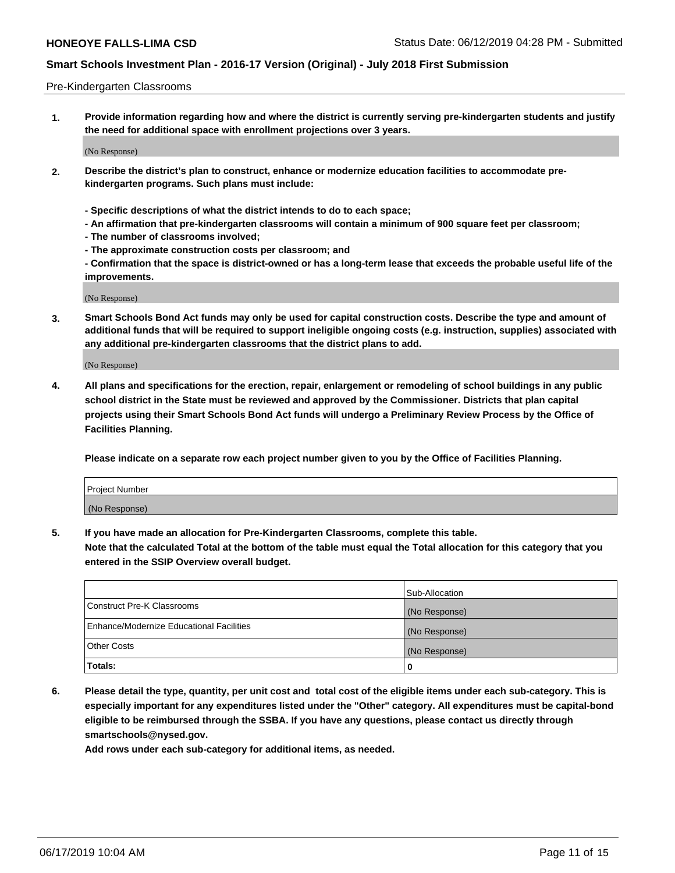#### Pre-Kindergarten Classrooms

**1. Provide information regarding how and where the district is currently serving pre-kindergarten students and justify the need for additional space with enrollment projections over 3 years.**

(No Response)

- **2. Describe the district's plan to construct, enhance or modernize education facilities to accommodate prekindergarten programs. Such plans must include:**
	- **Specific descriptions of what the district intends to do to each space;**
	- **An affirmation that pre-kindergarten classrooms will contain a minimum of 900 square feet per classroom;**
	- **The number of classrooms involved;**
	- **The approximate construction costs per classroom; and**
	- **Confirmation that the space is district-owned or has a long-term lease that exceeds the probable useful life of the improvements.**

(No Response)

**3. Smart Schools Bond Act funds may only be used for capital construction costs. Describe the type and amount of additional funds that will be required to support ineligible ongoing costs (e.g. instruction, supplies) associated with any additional pre-kindergarten classrooms that the district plans to add.**

(No Response)

**4. All plans and specifications for the erection, repair, enlargement or remodeling of school buildings in any public school district in the State must be reviewed and approved by the Commissioner. Districts that plan capital projects using their Smart Schools Bond Act funds will undergo a Preliminary Review Process by the Office of Facilities Planning.**

**Please indicate on a separate row each project number given to you by the Office of Facilities Planning.**

| Project Number |  |
|----------------|--|
| (No Response)  |  |
|                |  |

**5. If you have made an allocation for Pre-Kindergarten Classrooms, complete this table.**

**Note that the calculated Total at the bottom of the table must equal the Total allocation for this category that you entered in the SSIP Overview overall budget.**

|                                          | Sub-Allocation |
|------------------------------------------|----------------|
| Construct Pre-K Classrooms               | (No Response)  |
| Enhance/Modernize Educational Facilities | (No Response)  |
| <b>Other Costs</b>                       | (No Response)  |
| Totals:                                  | 0              |

**6. Please detail the type, quantity, per unit cost and total cost of the eligible items under each sub-category. This is especially important for any expenditures listed under the "Other" category. All expenditures must be capital-bond eligible to be reimbursed through the SSBA. If you have any questions, please contact us directly through smartschools@nysed.gov.**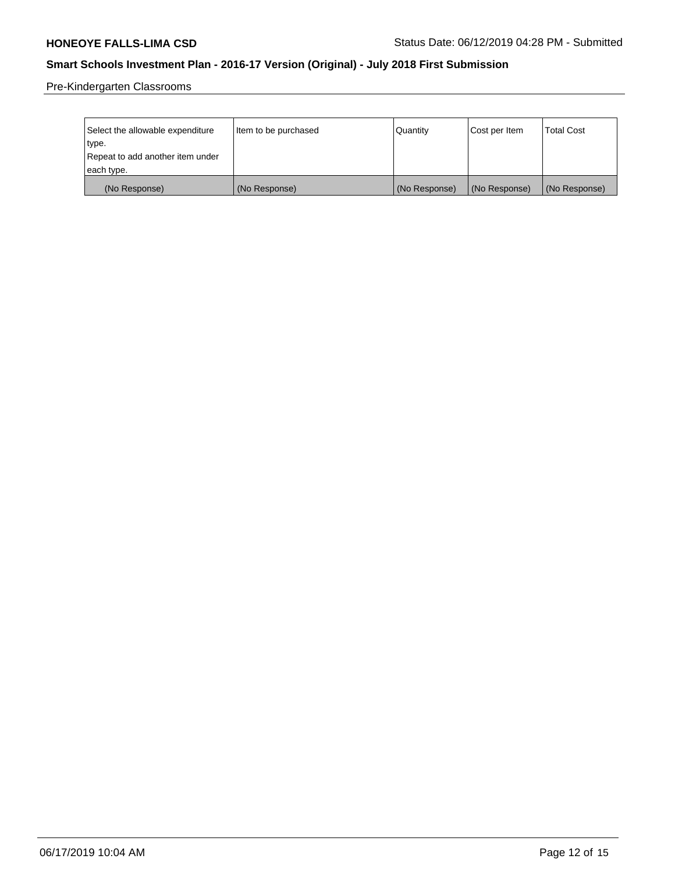Pre-Kindergarten Classrooms

| Select the allowable expenditure<br>type. | Item to be purchased | Quantity      | Cost per Item | <b>Total Cost</b> |
|-------------------------------------------|----------------------|---------------|---------------|-------------------|
| Repeat to add another item under          |                      |               |               |                   |
| each type.                                |                      |               |               |                   |
| (No Response)                             | (No Response)        | (No Response) | (No Response) | (No Response)     |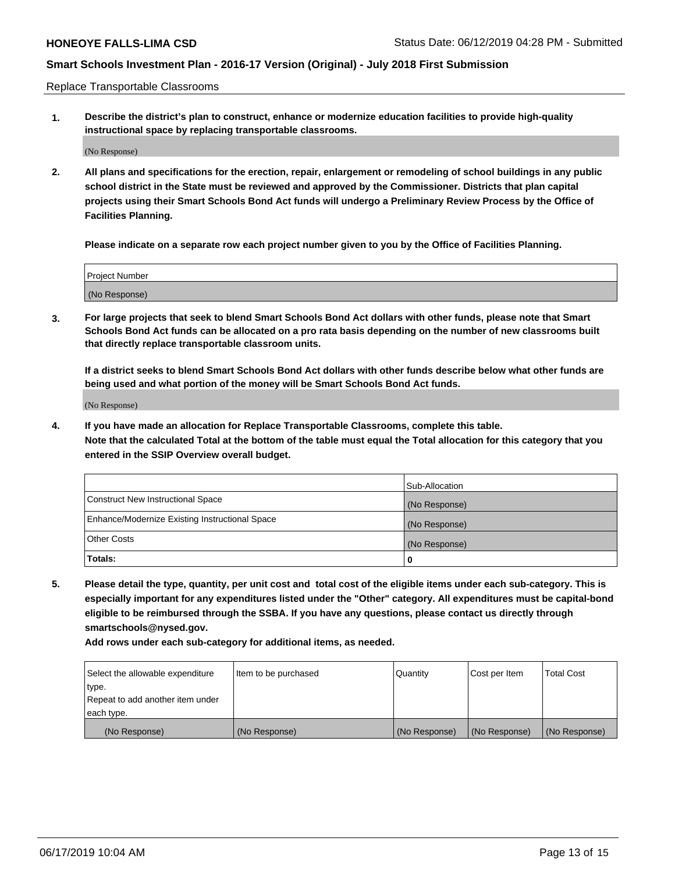Replace Transportable Classrooms

**1. Describe the district's plan to construct, enhance or modernize education facilities to provide high-quality instructional space by replacing transportable classrooms.**

(No Response)

**2. All plans and specifications for the erection, repair, enlargement or remodeling of school buildings in any public school district in the State must be reviewed and approved by the Commissioner. Districts that plan capital projects using their Smart Schools Bond Act funds will undergo a Preliminary Review Process by the Office of Facilities Planning.**

**Please indicate on a separate row each project number given to you by the Office of Facilities Planning.**

| Project Number |  |
|----------------|--|
|                |  |
|                |  |
|                |  |
|                |  |
| (No Response)  |  |
|                |  |
|                |  |
|                |  |

**3. For large projects that seek to blend Smart Schools Bond Act dollars with other funds, please note that Smart Schools Bond Act funds can be allocated on a pro rata basis depending on the number of new classrooms built that directly replace transportable classroom units.**

**If a district seeks to blend Smart Schools Bond Act dollars with other funds describe below what other funds are being used and what portion of the money will be Smart Schools Bond Act funds.**

(No Response)

**4. If you have made an allocation for Replace Transportable Classrooms, complete this table. Note that the calculated Total at the bottom of the table must equal the Total allocation for this category that you entered in the SSIP Overview overall budget.**

|                                                | Sub-Allocation |
|------------------------------------------------|----------------|
| Construct New Instructional Space              | (No Response)  |
| Enhance/Modernize Existing Instructional Space | (No Response)  |
| <b>Other Costs</b>                             | (No Response)  |
| Totals:                                        | 0              |

**5. Please detail the type, quantity, per unit cost and total cost of the eligible items under each sub-category. This is especially important for any expenditures listed under the "Other" category. All expenditures must be capital-bond eligible to be reimbursed through the SSBA. If you have any questions, please contact us directly through smartschools@nysed.gov.**

| Select the allowable expenditure | Item to be purchased | l Quantitv    | Cost per Item | <b>Total Cost</b> |
|----------------------------------|----------------------|---------------|---------------|-------------------|
| type.                            |                      |               |               |                   |
| Repeat to add another item under |                      |               |               |                   |
| each type.                       |                      |               |               |                   |
| (No Response)                    | (No Response)        | (No Response) | (No Response) | (No Response)     |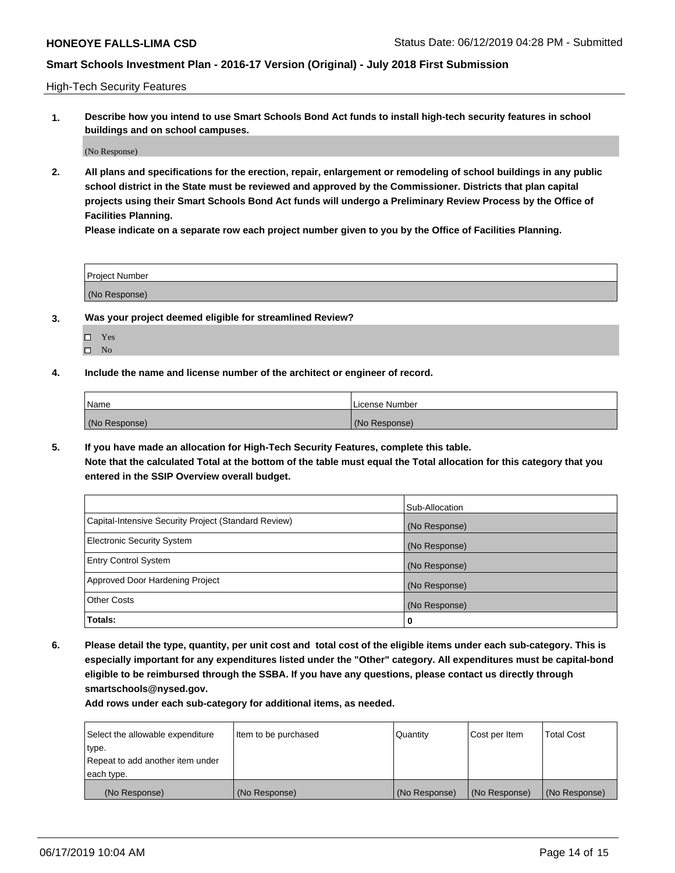High-Tech Security Features

**1. Describe how you intend to use Smart Schools Bond Act funds to install high-tech security features in school buildings and on school campuses.**

(No Response)

**2. All plans and specifications for the erection, repair, enlargement or remodeling of school buildings in any public school district in the State must be reviewed and approved by the Commissioner. Districts that plan capital projects using their Smart Schools Bond Act funds will undergo a Preliminary Review Process by the Office of Facilities Planning.** 

**Please indicate on a separate row each project number given to you by the Office of Facilities Planning.**

| <b>Project Number</b> |  |
|-----------------------|--|
| (No Response)         |  |

- **3. Was your project deemed eligible for streamlined Review?**
	- Yes
	- $\square$  No
- **4. Include the name and license number of the architect or engineer of record.**

| <b>Name</b>   | License Number |
|---------------|----------------|
| (No Response) | (No Response)  |

**5. If you have made an allocation for High-Tech Security Features, complete this table.**

**Note that the calculated Total at the bottom of the table must equal the Total allocation for this category that you entered in the SSIP Overview overall budget.**

|                                                      | Sub-Allocation |
|------------------------------------------------------|----------------|
| Capital-Intensive Security Project (Standard Review) | (No Response)  |
| <b>Electronic Security System</b>                    | (No Response)  |
| <b>Entry Control System</b>                          | (No Response)  |
| Approved Door Hardening Project                      | (No Response)  |
| <b>Other Costs</b>                                   | (No Response)  |
| Totals:                                              | 0              |

**6. Please detail the type, quantity, per unit cost and total cost of the eligible items under each sub-category. This is especially important for any expenditures listed under the "Other" category. All expenditures must be capital-bond eligible to be reimbursed through the SSBA. If you have any questions, please contact us directly through smartschools@nysed.gov.**

| Select the allowable expenditure | Item to be purchased | Quantity      | Cost per Item | <b>Total Cost</b> |
|----------------------------------|----------------------|---------------|---------------|-------------------|
| type.                            |                      |               |               |                   |
| Repeat to add another item under |                      |               |               |                   |
| each type.                       |                      |               |               |                   |
| (No Response)                    | (No Response)        | (No Response) | (No Response) | (No Response)     |